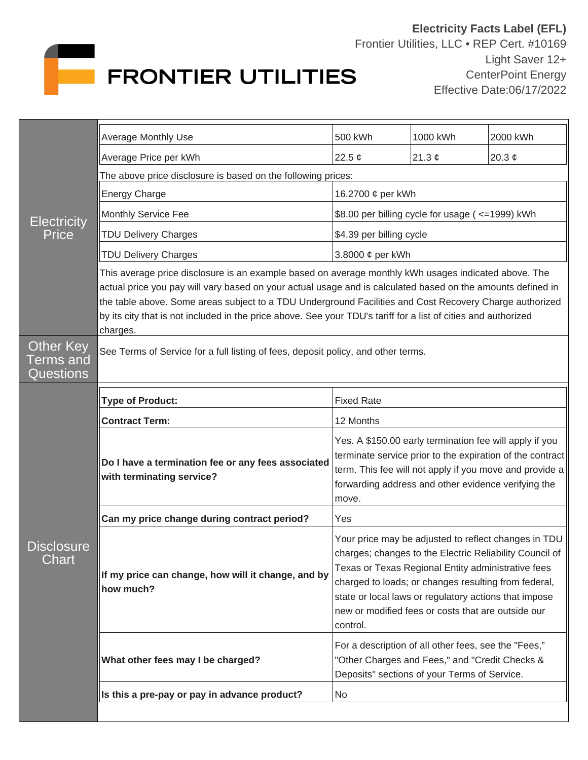

| <b>Electricity</b><br>Price               | <b>Average Monthly Use</b>                                                                                                                                                                                                                                                                                                                                                                                                                                   | 500 kWh                                                                                                                                                                                                                                                                                                                                                  | 1000 kWh    | 2000 kWh    |  |
|-------------------------------------------|--------------------------------------------------------------------------------------------------------------------------------------------------------------------------------------------------------------------------------------------------------------------------------------------------------------------------------------------------------------------------------------------------------------------------------------------------------------|----------------------------------------------------------------------------------------------------------------------------------------------------------------------------------------------------------------------------------------------------------------------------------------------------------------------------------------------------------|-------------|-------------|--|
|                                           | Average Price per kWh                                                                                                                                                                                                                                                                                                                                                                                                                                        | 22.5 $\phi$                                                                                                                                                                                                                                                                                                                                              | 21.3 $\phi$ | 20.3 $\phi$ |  |
|                                           | The above price disclosure is based on the following prices:                                                                                                                                                                                                                                                                                                                                                                                                 |                                                                                                                                                                                                                                                                                                                                                          |             |             |  |
|                                           | <b>Energy Charge</b>                                                                                                                                                                                                                                                                                                                                                                                                                                         | 16.2700 ¢ per kWh                                                                                                                                                                                                                                                                                                                                        |             |             |  |
|                                           | Monthly Service Fee                                                                                                                                                                                                                                                                                                                                                                                                                                          | \$8.00 per billing cycle for usage ( <= 1999) kWh                                                                                                                                                                                                                                                                                                        |             |             |  |
|                                           | <b>TDU Delivery Charges</b>                                                                                                                                                                                                                                                                                                                                                                                                                                  | \$4.39 per billing cycle                                                                                                                                                                                                                                                                                                                                 |             |             |  |
|                                           | <b>TDU Delivery Charges</b>                                                                                                                                                                                                                                                                                                                                                                                                                                  | 3.8000 ¢ per kWh                                                                                                                                                                                                                                                                                                                                         |             |             |  |
|                                           | This average price disclosure is an example based on average monthly kWh usages indicated above. The<br>actual price you pay will vary based on your actual usage and is calculated based on the amounts defined in<br>the table above. Some areas subject to a TDU Underground Facilities and Cost Recovery Charge authorized<br>by its city that is not included in the price above. See your TDU's tariff for a list of cities and authorized<br>charges. |                                                                                                                                                                                                                                                                                                                                                          |             |             |  |
| <b>Other Key</b><br>erms and<br>Questions | See Terms of Service for a full listing of fees, deposit policy, and other terms.                                                                                                                                                                                                                                                                                                                                                                            |                                                                                                                                                                                                                                                                                                                                                          |             |             |  |
| <b>Disclosure</b><br>Chart                | <b>Type of Product:</b>                                                                                                                                                                                                                                                                                                                                                                                                                                      | <b>Fixed Rate</b>                                                                                                                                                                                                                                                                                                                                        |             |             |  |
|                                           | <b>Contract Term:</b>                                                                                                                                                                                                                                                                                                                                                                                                                                        | 12 Months                                                                                                                                                                                                                                                                                                                                                |             |             |  |
|                                           | Do I have a termination fee or any fees associated<br>with terminating service?                                                                                                                                                                                                                                                                                                                                                                              | Yes. A \$150.00 early termination fee will apply if you<br>terminate service prior to the expiration of the contract<br>term. This fee will not apply if you move and provide a<br>forwarding address and other evidence verifying the<br>move.                                                                                                          |             |             |  |
|                                           | Can my price change during contract period?                                                                                                                                                                                                                                                                                                                                                                                                                  | Yes                                                                                                                                                                                                                                                                                                                                                      |             |             |  |
|                                           | If my price can change, how will it change, and by<br>how much?                                                                                                                                                                                                                                                                                                                                                                                              | Your price may be adjusted to reflect changes in TDU<br>charges; changes to the Electric Reliability Council of<br>Texas or Texas Regional Entity administrative fees<br>charged to loads; or changes resulting from federal,<br>state or local laws or regulatory actions that impose<br>new or modified fees or costs that are outside our<br>control. |             |             |  |
|                                           | What other fees may I be charged?                                                                                                                                                                                                                                                                                                                                                                                                                            | For a description of all other fees, see the "Fees,"<br>"Other Charges and Fees," and "Credit Checks &<br>Deposits" sections of your Terms of Service.                                                                                                                                                                                                   |             |             |  |
|                                           | Is this a pre-pay or pay in advance product?                                                                                                                                                                                                                                                                                                                                                                                                                 | No                                                                                                                                                                                                                                                                                                                                                       |             |             |  |
|                                           |                                                                                                                                                                                                                                                                                                                                                                                                                                                              |                                                                                                                                                                                                                                                                                                                                                          |             |             |  |